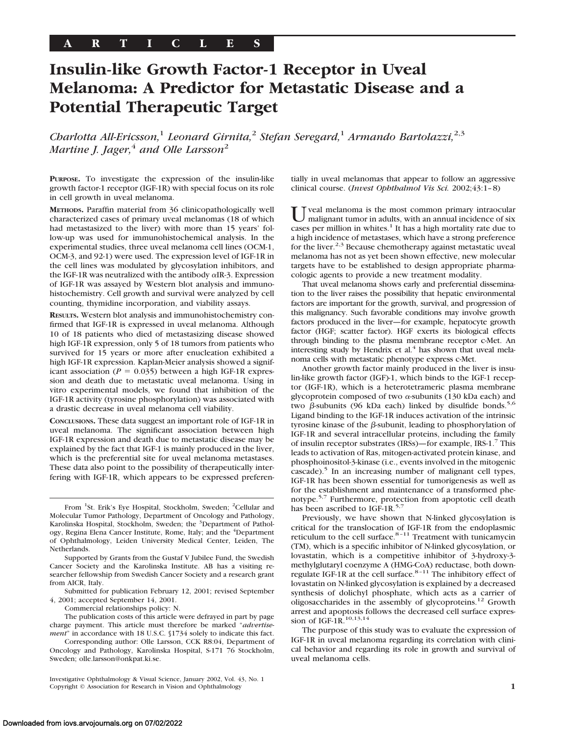# **Insulin-like Growth Factor-1 Receptor in Uveal Melanoma: A Predictor for Metastatic Disease and a Potential Therapeutic Target**

*Charlotta All-Ericsson,*<sup>1</sup> *Leonard Girnita,*<sup>2</sup> *Stefan Seregard,*<sup>1</sup> *Armando Bartolazzi,*2,3 *Martine J. Jager,*<sup>4</sup> *and Olle Larsson*<sup>2</sup>

**PURPOSE.** To investigate the expression of the insulin-like growth factor-1 receptor (IGF-1R) with special focus on its role in cell growth in uveal melanoma.

**METHODS.** Paraffin material from 36 clinicopathologically well characterized cases of primary uveal melanomas (18 of which had metastasized to the liver) with more than 15 years' follow-up was used for immunohistochemical analysis. In the experimental studies, three uveal melanoma cell lines (OCM-1, OCM-3, and 92-1) were used. The expression level of IGF-1R in the cell lines was modulated by glycosylation inhibitors, and the IGF-1R was neutralized with the antibody  $\alpha$ IR-3. Expression of IGF-1R was assayed by Western blot analysis and immunohistochemistry. Cell growth and survival were analyzed by cell counting, thymidine incorporation, and viability assays.

**RESULTS.** Western blot analysis and immunohistochemistry confirmed that IGF-1R is expressed in uveal melanoma. Although 10 of 18 patients who died of metastasizing disease showed high IGF-1R expression, only 5 of 18 tumors from patients who survived for 15 years or more after enucleation exhibited a high IGF-1R expression. Kaplan-Meier analysis showed a significant association ( $P = 0.035$ ) between a high IGF-1R expression and death due to metastatic uveal melanoma. Using in vitro experimental models, we found that inhibition of the IGF-1R activity (tyrosine phosphorylation) was associated with a drastic decrease in uveal melanoma cell viability.

**CONCLUSIONS.** These data suggest an important role of IGF-1R in uveal melanoma. The significant association between high IGF-1R expression and death due to metastatic disease may be explained by the fact that IGF-1 is mainly produced in the liver, which is the preferential site for uveal melanoma metastases. These data also point to the possibility of therapeutically interfering with IGF-1R, which appears to be expressed preferen-

From <sup>1</sup>St. Erik's Eye Hospital, Stockholm, Sweden; <sup>2</sup>Cellular and Molecular Tumor Pathology, Department of Oncology and Pathology, Karolinska Hospital, Stockholm, Sweden; the <sup>3</sup>Department of Pathology, Regina Elena Cancer Institute, Rome, Italy; and the <sup>4</sup>Department of Ophthalmology, Leiden University Medical Center, Leiden, The Netherlands.

Supported by Grants from the Gustaf V Jubilee Fund, the Swedish Cancer Society and the Karolinska Institute. AB has a visiting researcher fellowship from Swedish Cancer Society and a research grant from AICR, Italy.

Submitted for publication February 12, 2001; revised September 4, 2001; accepted September 14, 2001.

Commercial relationships policy: N.

The publication costs of this article were defrayed in part by page charge payment. This article must therefore be marked "*advertisement*" in accordance with 18 U.S.C. §1734 solely to indicate this fact.

Corresponding author: Olle Larsson, CCK R8:04, Department of Oncology and Pathology, Karolinska Hospital, S-171 76 Stockholm, Sweden; olle.larsson@onkpat.ki.se.

Investigative Ophthalmology & Visual Science, January 2002, Vol. 43, No. 1 Copyright © Association for Research in Vision and Ophthalmology **1**

tially in uveal melanomas that appear to follow an aggressive clinical course. (*Invest Ophthalmol Vis Sci.* 2002;43:1–8)

Tveal melanoma is the most common primary intraocular malignant tumor in adults, with an annual incidence of six cases per million in whites. $<sup>1</sup>$  It has a high mortality rate due to</sup> a high incidence of metastases, which have a strong preference for the liver.<sup>2,3</sup> Because chemotherapy against metastatic uveal melanoma has not as yet been shown effective, new molecular targets have to be established to design appropriate pharmacologic agents to provide a new treatment modality.

That uveal melanoma shows early and preferential dissemination to the liver raises the possibility that hepatic environmental factors are important for the growth, survival, and progression of this malignancy. Such favorable conditions may involve growth factors produced in the liver—for example, hepatocyte growth factor (HGF; scatter factor). HGF exerts its biological effects through binding to the plasma membrane receptor c-Met. An interesting study by Hendrix et al. $4$  has shown that uveal melanoma cells with metastatic phenotype express c-Met.

Another growth factor mainly produced in the liver is insulin-like growth factor (IGF)-1, which binds to the IGF-1 receptor (IGF-1R), which is a heterotetrameric plasma membrane glycoprotein composed of two <sup>a</sup>-subunits (130 kDa each) and two  $\beta$ -subunits (96 kDa each) linked by disulfide bonds.<sup>5,6</sup> Ligand binding to the IGF-1R induces activation of the intrinsic tyrosine kinase of the  $\beta$ -subunit, leading to phosphorylation of IGF-1R and several intracellular proteins, including the family of insulin receptor substrates (IRSs)—for example, IRS-1.7 This leads to activation of Ras, mitogen-activated protein kinase, and phosphoinositol-3-kinase (i.e., events involved in the mitogenic cascade).<sup>5</sup> In an increasing number of malignant cell types, IGF-1R has been shown essential for tumorigenesis as well as for the establishment and maintenance of a transformed phenotype.5,7 Furthermore, protection from apoptotic cell death has been ascribed to IGF-1R.<sup>5,7</sup>

Previously, we have shown that N-linked glycosylation is critical for the translocation of IGF-1R from the endoplasmic reticulum to the cell surface. $8-11$  Treatment with tunicamycin (TM), which is a specific inhibitor of N-linked glycosylation, or lovastatin, which is a competitive inhibitor of 3-hydroxy-3 methylglutaryl coenzyme A (HMG-CoA) reductase, both downregulate IGF-1R at the cell surface. $8-11$  The inhibitory effect of lovastatin on N-linked glycosylation is explained by a decreased synthesis of dolichyl phosphate, which acts as a carrier of oligosaccharides in the assembly of glycoproteins.12 Growth arrest and apoptosis follows the decreased cell surface expression of IGF-1R.<sup>10,13,14</sup>

The purpose of this study was to evaluate the expression of IGF-1R in uveal melanoma regarding its correlation with clinical behavior and regarding its role in growth and survival of uveal melanoma cells.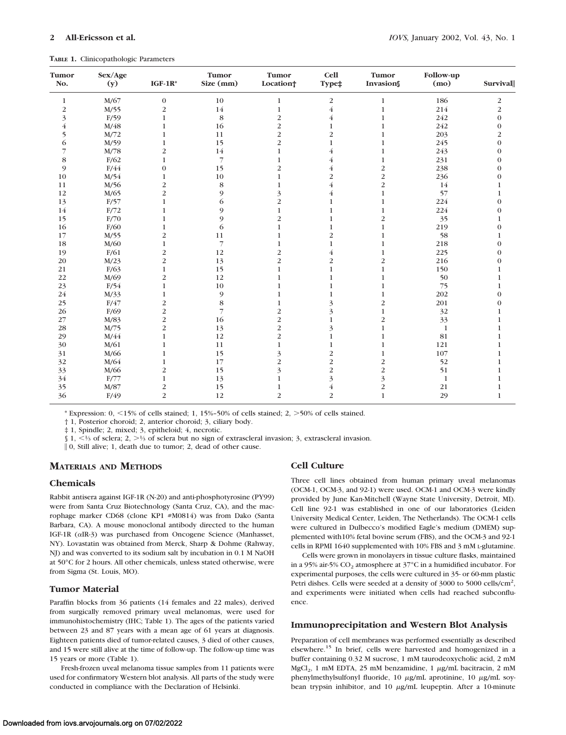**TABLE 1.** Clinicopathologic Parameters

| Tumor<br>No.            | Sex/Age<br>(y) | $IGF-1R*$               | Tumor<br>Size (mm) | Tumor<br>Location <sup>+</sup> | <b>Cell</b><br>Type‡ | Tumor<br>Invasion       | Follow-up<br>(mo) | <b>Survival</b>  |
|-------------------------|----------------|-------------------------|--------------------|--------------------------------|----------------------|-------------------------|-------------------|------------------|
| $\mathbf{1}$            | M/67           | $\boldsymbol{0}$        | 10                 | $\mathbf{1}$                   | $\sqrt{2}$           | $\mathbf{1}$            | 186               | 2                |
| $\overline{c}$          | M/55           | $\overline{c}$          | 14                 | $\mathbf{1}$                   | $\overline{4}$       | 1                       | 214               | $\overline{c}$   |
| 3                       | F/59           | $\mathbf{1}$            | 8                  | $\overline{c}$                 | $\overline{4}$       | 1                       | 242               | $\boldsymbol{0}$ |
| $\overline{\mathbf{4}}$ | M/48           | $\mathbf{1}$            | 16                 | $\overline{2}$                 | 1                    | 1                       | 242               | $\boldsymbol{0}$ |
| 5                       | M/72           | $\mathbf{1}$            | 11                 | $\overline{2}$                 | $\overline{2}$       | 1                       | 203               | $\overline{2}$   |
| 6                       | M/59           | $\mathbf{1}$            | 15                 | $\overline{2}$                 | $\mathbf{1}$         | 1                       | 245               | $\overline{0}$   |
| 7                       | M/78           | $\overline{c}$          | 14                 | $\mathbf{1}$                   | $\overline{4}$       | 1                       | 243               | $\mathbf{0}$     |
| 8                       | F/62           | $\mathbf{1}$            | $\overline{7}$     | $\mathbf{1}$                   | $\overline{4}$       | $\mathbf{1}$            | 231               | $\boldsymbol{0}$ |
| 9                       | F/44           | $\boldsymbol{0}$        | 15                 | $\overline{\mathbf{c}}$        | $\overline{4}$       | $\overline{\mathbf{c}}$ | 238               | $\overline{0}$   |
| 10                      | M/54           | $\mathbf{1}$            | 10                 | 1                              | $\overline{c}$       | $\overline{c}$          | 236               | $\overline{0}$   |
| 11                      | M/56           | $\overline{c}$          | 8                  | 1                              | $\overline{4}$       | $\overline{2}$          | 14                | 1                |
| 12                      | M/65           | $\overline{2}$          | 9                  | 3                              | $\overline{4}$       | 1                       | 57                | 1                |
| 13                      | F/57           | $\mathbf{1}$            | 6                  | $\overline{c}$                 | $\mathbf{1}$         | 1                       | 224               | $\mathbf{0}$     |
| 14                      | F/72           | 1                       | 9                  | $\mathbf{1}$                   | 1                    | $\mathbf{1}$            | 224               | $\boldsymbol{0}$ |
| 15                      | F/70           | $\mathbf{1}$            | 9                  | $\overline{\mathbf{c}}$        | 1                    | $\overline{\mathbf{c}}$ | 35                | 1                |
| 16                      | F/60           | $\mathbf{1}$            | 6                  | 1                              | 1                    | 1                       | 219               | $\mathbf{0}$     |
| 17                      | M/55           | $\overline{2}$          | 11                 | 1                              | $\overline{2}$       | 1                       | 58                | 1                |
| 18                      | M/60           | $\mathbf{1}$            | $\overline{7}$     | 1                              | 1                    | 1                       | 218               | $\overline{0}$   |
| 19                      | F/61           | $\overline{c}$          | 12                 | $\overline{2}$                 | $\overline{4}$       | 1                       | 225               | $\overline{0}$   |
| 20                      | M/23           | $\overline{c}$          | 13                 | $\overline{2}$                 | 2                    | 2                       | 216               | $\theta$         |
| 21                      | F/63           | $\mathbf{1}$            | 15                 | 1                              | $\mathbf{1}$         | $\mathbf{1}$            | 150               |                  |
| 22                      | M/69           | $\overline{c}$          | 12                 | 1                              | 1                    | 1                       | 50                |                  |
| 23                      | F/54           | $\mathbf{1}$            | 10                 | 1                              | 1                    | 1                       | 75                | 1                |
| 24                      | M/33           | $\mathbf{1}$            | 9                  | 1                              | 1                    | 1                       | 202               | $\overline{0}$   |
| 25                      | F/47           | $\overline{2}$          | 8                  | 1                              | 3                    | $\overline{2}$          | 201               | $\overline{0}$   |
| 26                      | F/69           | $\overline{c}$          | 7                  | $\overline{2}$                 | 3                    | $\mathbf{1}$            | 32                | 1                |
| 27                      | M/83           | $\overline{\mathbf{c}}$ | 16                 | $\overline{c}$                 | 1                    | $\overline{c}$          | 33                | 1                |
| 28                      | M/75           | $\overline{2}$          | 13                 | $\overline{c}$                 | 3                    | 1                       | $\mathbf{1}$      |                  |
| 29                      | M/44           | $\mathbf{1}$            | 12                 | $\overline{c}$                 | 1                    | 1                       | 81                |                  |
| 30                      | M/61           | $\mathbf{1}$            | 11                 | $\mathbf{1}$                   | $\mathbf{1}$         | 1                       | 121               |                  |
| 31                      | M/66           | $\mathbf{1}$            | 15                 | 3                              | $\overline{c}$       | 1                       | 107               | 1                |
| 32                      | M/64           | $\mathbf{1}$            | 17                 | $\overline{c}$                 | $\overline{c}$       | $\overline{c}$          | 52                | 1                |
| 33                      | M/66           | $\overline{c}$          | 15                 | 3                              | $\overline{c}$       | $\overline{c}$          | 51                |                  |
| 34                      | F/77           | $\mathbf{1}$            | 13                 | 1                              | 3                    | 3                       | $\mathbf{1}$      |                  |
| 35                      | M/87           | $\overline{c}$          | 15                 | 1                              | $\bf 4$              | $\overline{c}$          | 21                | 1                |
| 36                      | F/49           | $\overline{2}$          | 12                 | $\overline{2}$                 | $\overline{c}$       | 1                       | 29                | 1                |

\* Expression:  $0, \leq 15\%$  of cells stained; 1, 15%–50% of cells stained; 2,  $\geq 50\%$  of cells stained.

† 1, Posterior choroid; 2, anterior choroid; 3, ciliary body.

‡ 1, Spindle; 2, mixed; 3, epitheloid; 4, necrotic.

 $\int 1$ ,  $\leq$  1/3 of sclera; 2,  $\geq$  1/3 of sclera but no sign of extrascleral invasion; 3, extrascleral invasion.

 $\|$  0, Still alive; 1, death due to tumor; 2, dead of other cause.

# **MATERIALS AND METHODS**

#### **Chemicals**

Rabbit antisera against IGF-1R (N-20) and anti-phosphotyrosine (PY99) were from Santa Cruz Biotechnology (Santa Cruz, CA), and the macrophage marker CD68 (clone KP1 #M0814) was from Dako (Santa Barbara, CA). A mouse monoclonal antibody directed to the human IGF-1R (aIR-3) was purchased from Oncogene Science (Manhasset, NY). Lovastatin was obtained from Merck, Sharp & Dohme (Rahway, NJ) and was converted to its sodium salt by incubation in 0.1 M NaOH at 50°C for 2 hours. All other chemicals, unless stated otherwise, were from Sigma (St. Louis, MO).

# **Tumor Material**

Paraffin blocks from 36 patients (14 females and 22 males), derived from surgically removed primary uveal melanomas, were used for immunohistochemistry (IHC; Table 1). The ages of the patients varied between 23 and 87 years with a mean age of 61 years at diagnosis. Eighteen patients died of tumor-related causes, 3 died of other causes, and 15 were still alive at the time of follow-up. The follow-up time was 15 years or more (Table 1).

Fresh-frozen uveal melanoma tissue samples from 11 patients were used for confirmatory Western blot analysis. All parts of the study were conducted in compliance with the Declaration of Helsinki.

# **Cell Culture**

Three cell lines obtained from human primary uveal melanomas (OCM-1, OCM-3, and 92-1) were used. OCM-1 and OCM-3 were kindly provided by June Kan-Mitchell (Wayne State University, Detroit, MI). Cell line 92-1 was established in one of our laboratories (Leiden University Medical Center, Leiden, The Netherlands). The OCM-1 cells were cultured in Dulbecco's modified Eagle's medium (DMEM) supplemented with10% fetal bovine serum (FBS), and the OCM-3 and 92-1 cells in RPMI 1640 supplemented with 10% FBS and 3 mM L-glutamine.

Cells were grown in monolayers in tissue culture flasks, maintained in a 95% air-5%  $CO_2$  atmosphere at 37°C in a humidified incubator. For experimental purposes, the cells were cultured in 35- or 60-mm plastic Petri dishes. Cells were seeded at a density of 3000 to 5000 cells/cm<sup>2</sup>, and experiments were initiated when cells had reached subconfluence.

## **Immunoprecipitation and Western Blot Analysis**

Preparation of cell membranes was performed essentially as described elsewhere.15 In brief, cells were harvested and homogenized in a buffer containing 0.32 M sucrose, 1 mM taurodeoxycholic acid, 2 mM  $MgCl<sub>2</sub>$ , 1 mM EDTA, 25 mM benzamidine, 1  $\mu$ g/mL bacitracin, 2 mM phenylmethylsulfonyl fluoride, 10 µg/mL aprotinine, 10 µg/mL soybean trypsin inhibitor, and  $10 \mu g/mL$  leupeptin. After a 10-minute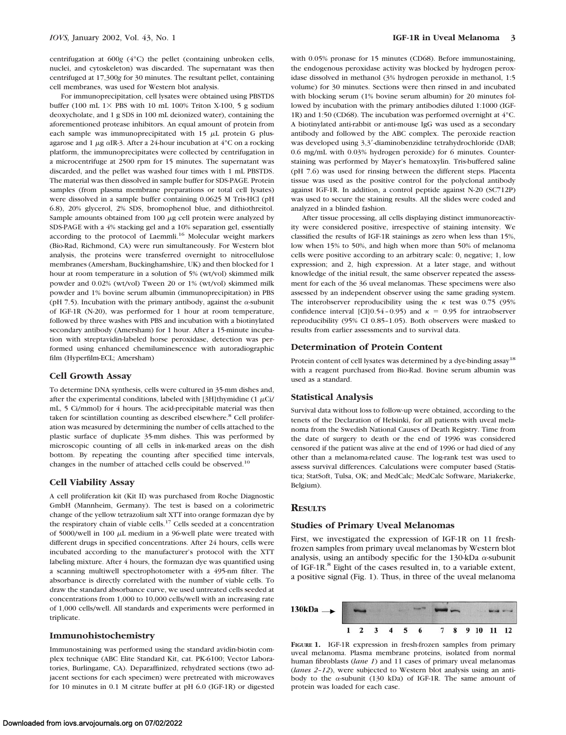centrifugation at 600*g* (4°C) the pellet (containing unbroken cells, nuclei, and cytoskeleton) was discarded. The supernatant was then centrifuged at 17,300*g* for 30 minutes. The resultant pellet, containing cell membranes, was used for Western blot analysis.

For immunoprecipitation, cell lysates were obtained using PBSTDS buffer (100 mL  $1\times$  PBS with 10 mL 100% Triton X-100, 5 g sodium deoxycholate, and 1 g SDS in 100 mL deionized water), containing the aforementioned protease inhibitors. An equal amount of protein from each sample was immunoprecipitated with  $15 \mu L$  protein G plusagarose and 1  $\mu$ g  $\alpha$ IR-3. After a 24-hour incubation at 4°C on a rocking platform, the immunoprecipitates were collected by centrifugation in a microcentrifuge at 2500 rpm for 15 minutes. The supernatant was discarded, and the pellet was washed four times with 1 mL PBSTDS. The material was then dissolved in sample buffer for SDS-PAGE. Protein samples (from plasma membrane preparations or total cell lysates) were dissolved in a sample buffer containing 0.0625 M Tris-HCl (pH 6.8), 20% glycerol, 2% SDS, bromophenol blue, and dithiothreitol. Sample amounts obtained from  $100 \mu$ g cell protein were analyzed by SDS-PAGE with a 4% stacking gel and a 10% separation gel, essentially according to the protocol of Laemmli.<sup>16</sup> Molecular weight markers (Bio-Rad, Richmond, CA) were run simultaneously. For Western blot analysis, the proteins were transferred overnight to nitrocellulose membranes (Amersham, Buckinghamshire, UK) and then blocked for 1 hour at room temperature in a solution of 5% (wt/vol) skimmed milk powder and 0.02% (wt/vol) Tween 20 or 1% (wt/vol) skimmed milk powder and 1% bovine serum albumin (immunoprecipitation) in PBS (pH 7.5). Incubation with the primary antibody, against the  $\alpha$ -subunit of IGF-1R (N-20), was performed for 1 hour at room temperature, followed by three washes with PBS and incubation with a biotinylated secondary antibody (Amersham) for 1 hour. After a 15-minute incubation with streptavidin-labeled horse peroxidase, detection was performed using enhanced chemiluminescence with autoradiographic film (Hyperfilm-ECL; Amersham)

#### **Cell Growth Assay**

To determine DNA synthesis, cells were cultured in 35-mm dishes and, after the experimental conditions, labeled with [3H]thymidine (1  $\mu$ Ci/ mL, 5 Ci/mmol) for 4 hours. The acid-precipitable material was then taken for scintillation counting as described elsewhere.<sup>8</sup> Cell proliferation was measured by determining the number of cells attached to the plastic surface of duplicate 35-mm dishes. This was performed by microscopic counting of all cells in ink-marked areas on the dish bottom. By repeating the counting after specified time intervals, changes in the number of attached cells could be observed.10

## **Cell Viability Assay**

A cell proliferation kit (Kit II) was purchased from Roche Diagnostic GmbH (Mannheim, Germany). The test is based on a colorimetric change of the yellow tetrazolium salt XTT into orange formazan dye by the respiratory chain of viable cells.<sup>17</sup> Cells seeded at a concentration of 5000/well in 100  $\mu$ L medium in a 96-well plate were treated with different drugs in specified concentrations. After 24 hours, cells were incubated according to the manufacturer's protocol with the XTT labeling mixture. After 4 hours, the formazan dye was quantified using a scanning multiwell spectrophotometer with a 495-nm filter. The absorbance is directly correlated with the number of viable cells. To draw the standard absorbance curve, we used untreated cells seeded at concentrations from 1,000 to 10,000 cells/well with an increasing rate of 1,000 cells/well. All standards and experiments were performed in triplicate.

# **Immunohistochemistry**

Immunostaining was performed using the standard avidin-biotin complex technique (ABC Elite Standard Kit, cat. PK-6100; Vector Laboratories, Burlingame, CA). Deparaffinized, rehydrated sections (two adjacent sections for each specimen) were pretreated with microwaves for 10 minutes in 0.1 M citrate buffer at pH 6.0 (IGF-1R) or digested with 0.05% pronase for 15 minutes (CD68). Before immunostaining, the endogenous peroxidase activity was blocked by hydrogen peroxidase dissolved in methanol (3% hydrogen peroxide in methanol, 1:5 volume) for 30 minutes. Sections were then rinsed in and incubated with blocking serum (1% bovine serum albumin) for 20 minutes followed by incubation with the primary antibodies diluted 1:1000 (IGF-1R) and 1:50 (CD68). The incubation was performed overnight at 4°C. A biotinylated anti-rabbit or anti-mouse IgG was used as a secondary antibody and followed by the ABC complex. The peroxide reaction was developed using 3,3'-diaminobenzidine tetrahydrochloride (DAB; 0.6 mg/mL with 0.03% hydrogen peroxide) for 6 minutes. Counterstaining was performed by Mayer's hematoxylin. Tris-buffered saline (pH 7.6) was used for rinsing between the different steps. Placenta tissue was used as the positive control for the polyclonal antibody against IGF-1R. In addition, a control peptide against N-20 (SC712P) was used to secure the staining results. All the slides were coded and analyzed in a blinded fashion.

After tissue processing, all cells displaying distinct immunoreactivity were considered positive, irrespective of staining intensity. We classified the results of IGF-1R stainings as zero when less than 15%, low when 15% to 50%, and high when more than 50% of melanoma cells were positive according to an arbitrary scale: 0, negative; 1, low expression; and 2, high expression. At a later stage, and without knowledge of the initial result, the same observer repeated the assessment for each of the 36 uveal melanomas. These specimens were also assessed by an independent observer using the same grading system. The interobserver reproducibility using the  $\kappa$  test was 0.75 (95%) confidence interval [CI]0.54 - 0.95) and  $\kappa = 0.95$  for intraobserver reproducibility (95% CI 0.85–1.05). Both observers were masked to results from earlier assessments and to survival data.

#### **Determination of Protein Content**

Protein content of cell lysates was determined by a dye-binding assay<sup>18</sup> with a reagent purchased from Bio-Rad. Bovine serum albumin was used as a standard.

#### **Statistical Analysis**

Survival data without loss to follow-up were obtained, according to the tenets of the Declaration of Helsinki, for all patients with uveal melanoma from the Swedish National Causes of Death Registry. Time from the date of surgery to death or the end of 1996 was considered censored if the patient was alive at the end of 1996 or had died of any other than a melanoma-related cause. The log-rank test was used to assess survival differences. Calculations were computer based (Statistica; StatSoft, Tulsa, OK; and MedCalc; MedCalc Software, Mariakerke, Belgium).

#### **RESULTS**

## **Studies of Primary Uveal Melanomas**

First, we investigated the expression of IGF-1R on 11 freshfrozen samples from primary uveal melanomas by Western blot analysis, using an antibody specific for the 130-kDa  $\alpha$ -subunit of IGF-1R.<sup>8</sup> Eight of the cases resulted in, to a variable extent, a positive signal (Fig. 1). Thus, in three of the uveal melanoma



**FIGURE 1.** IGF-1R expression in fresh-frozen samples from primary uveal melanoma. Plasma membrane proteins, isolated from normal human fibroblasts (*lane 1*) and 11 cases of primary uveal melanomas (*lanes 2*–*12*), were subjected to Western blot analysis using an antibody to the  $\alpha$ -subunit (130 kDa) of IGF-1R. The same amount of protein was loaded for each case.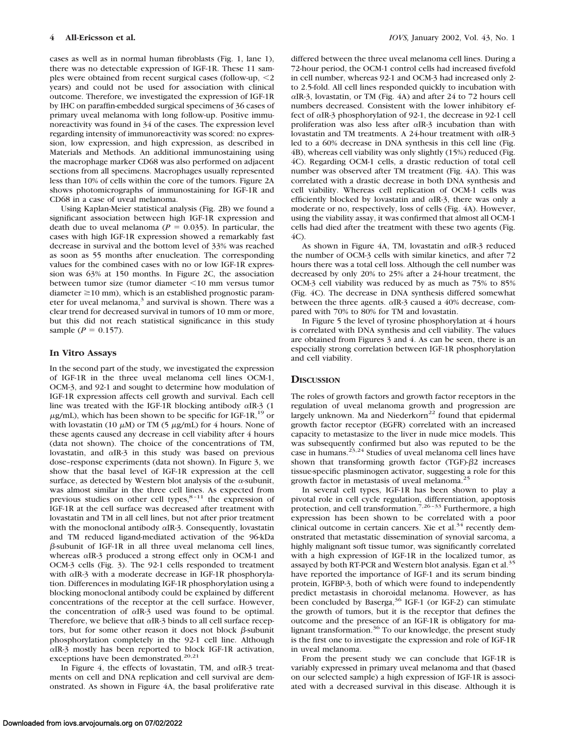cases as well as in normal human fibroblasts (Fig. 1, lane 1), there was no detectable expression of IGF-1R. These 11 samples were obtained from recent surgical cases (follow-up,  $\leq$ 2 years) and could not be used for association with clinical outcome. Therefore, we investigated the expression of IGF-1R by IHC on paraffin-embedded surgical specimens of 36 cases of primary uveal melanoma with long follow-up. Positive immunoreactivity was found in 34 of the cases. The expression level regarding intensity of immunoreactivity was scored: no expression, low expression, and high expression, as described in Materials and Methods. An additional immunostaining using the macrophage marker CD68 was also performed on adjacent sections from all specimens. Macrophages usually represented less than 10% of cells within the core of the tumors. Figure 2A shows photomicrographs of immunostaining for IGF-1R and CD68 in a case of uveal melanoma.

Using Kaplan-Meier statistical analysis (Fig. 2B) we found a significant association between high IGF-1R expression and death due to uveal melanoma ( $P = 0.035$ ). In particular, the cases with high IGF-1R expression showed a remarkably fast decrease in survival and the bottom level of 33% was reached as soon as 55 months after enucleation. The corresponding values for the combined cases with no or low IGF-1R expression was 63% at 150 months. In Figure 2C, the association between tumor size (tumor diameter  $\leq 10$  mm versus tumor diameter  $\geq$ 10 mm), which is an established prognostic parameter for uveal melanoma,<sup>3</sup> and survival is shown. There was a clear trend for decreased survival in tumors of 10 mm or more, but this did not reach statistical significance in this study sample ( $P = 0.157$ ).

#### **In Vitro Assays**

In the second part of the study, we investigated the expression of IGF-1R in the three uveal melanoma cell lines OCM-1, OCM-3, and 92-1 and sought to determine how modulation of IGF-1R expression affects cell growth and survival. Each cell line was treated with the IGF-1R blocking antibody <sup>a</sup>IR-3 (1  $\mu$ g/mL), which has been shown to be specific for IGF-1R,<sup>19</sup> or with lovastatin (10  $\mu$ M) or TM (5  $\mu$ g/mL) for 4 hours. None of these agents caused any decrease in cell viability after 4 hours (data not shown). The choice of the concentrations of TM, lovastatin, and <sup>a</sup>IR-3 in this study was based on previous dose–response experiments (data not shown). In Figure 3, we show that the basal level of IGF-1R expression at the cell surface, as detected by Western blot analysis of the  $\alpha$ -subunit, was almost similar in the three cell lines. As expected from previous studies on other cell types, $8-11$  the expression of IGF-1R at the cell surface was decreased after treatment with lovastatin and TM in all cell lines, but not after prior treatment with the monoclonal antibody  $\alpha$ IR-3. Consequently, lovastatin and TM reduced ligand-mediated activation of the 96-kDa  $\beta$ -subunit of IGF-1R in all three uveal melanoma cell lines, whereas  $\alpha$ IR-3 produced a strong effect only in OCM-1 and OCM-3 cells (Fig. 3). The 92-1 cells responded to treatment with  $\alpha$ IR-3 with a moderate decrease in IGF-1R phosphorylation. Differences in modulating IGF-1R phosphorylation using a blocking monoclonal antibody could be explained by different concentrations of the receptor at the cell surface. However, the concentration of  $\alpha$ IR-3 used was found to be optimal. Therefore, we believe that  $\alpha$ IR-3 binds to all cell surface receptors, but for some other reason it does not block  $\beta$ -subunit phosphorylation completely in the 92-1 cell line. Although <sup>a</sup>IR-3 mostly has been reported to block IGF-1R activation, exceptions have been demonstrated.<sup>20,21</sup>

In Figure 4, the effects of lovastatin, TM, and  $\alpha$ IR-3 treatments on cell and DNA replication and cell survival are demonstrated. As shown in Figure 4A, the basal proliferative rate

differed between the three uveal melanoma cell lines. During a 72-hour period, the OCM-1 control cells had increased fivefold in cell number, whereas 92-1 and OCM-3 had increased only 2 to 2.5-fold. All cell lines responded quickly to incubation with <sup>a</sup>IR-3, lovastatin, or TM (Fig. 4A) and after 24 to 72 hours cell numbers decreased. Consistent with the lower inhibitory effect of <sup>a</sup>IR-3 phosphorylation of 92-1, the decrease in 92-1 cell proliferation was also less after  $\alpha$ IR-3 incubation than with lovastatin and TM treatments. A 24-hour treatment with <sup>a</sup>IR-3 led to a 60% decrease in DNA synthesis in this cell line (Fig. 4B), whereas cell viability was only slightly (15%) reduced (Fig. 4C). Regarding OCM-1 cells, a drastic reduction of total cell number was observed after TM treatment (Fig. 4A). This was correlated with a drastic decrease in both DNA synthesis and cell viability. Whereas cell replication of OCM-1 cells was efficiently blocked by lovastatin and  $\alpha$ IR-3, there was only a moderate or no, respectively, loss of cells (Fig. 4A). However, using the viability assay, it was confirmed that almost all OCM-1 cells had died after the treatment with these two agents (Fig. 4C).

As shown in Figure 4A, TM, lovastatin and  $\alpha$ IR-3 reduced the number of OCM-3 cells with similar kinetics, and after 72 hours there was a total cell loss. Although the cell number was decreased by only 20% to 25% after a 24-hour treatment, the OCM-3 cell viability was reduced by as much as 75% to 85% (Fig. 4C). The decrease in DNA synthesis differed somewhat between the three agents. <sup>a</sup>IR-3 caused a 40% decrease, compared with 70% to 80% for TM and lovastatin.

In Figure 5 the level of tyrosine phosphorylation at 4 hours is correlated with DNA synthesis and cell viability. The values are obtained from Figures 3 and 4. As can be seen, there is an especially strong correlation between IGF-1R phosphorylation and cell viability.

# **DISCUSSION**

The roles of growth factors and growth factor receptors in the regulation of uveal melanoma growth and progression are largely unknown. Ma and Niederkorn<sup>22</sup> found that epidermal growth factor receptor (EGFR) correlated with an increased capacity to metastasize to the liver in nude mice models. This was subsequently confirmed but also was reputed to be the case in humans.<sup>23,24</sup> Studies of uveal melanoma cell lines have shown that transforming growth factor (TGF)- $\beta$ 2 increases tissue-specific plasminogen activator, suggesting a role for this growth factor in metastasis of uveal melanoma.<sup>2</sup>

In several cell types, IGF-1R has been shown to play a pivotal role in cell cycle regulation, differentiation, apoptosis protection, and cell transformation.<sup>7,26-33</sup> Furthermore, a high expression has been shown to be correlated with a poor clinical outcome in certain cancers. Xie et al. $34$  recently demonstrated that metastatic dissemination of synovial sarcoma, a highly malignant soft tissue tumor, was significantly correlated with a high expression of IGF-1R in the localized tumor, as assayed by both RT-PCR and Western blot analysis. Egan et al.<sup>35</sup> have reported the importance of IGF-1 and its serum binding protein, IGFBP-3, both of which were found to independently predict metastasis in choroidal melanoma. However, as has been concluded by Baserga,<sup>36</sup> IGF-1 (or IGF-2) can stimulate the growth of tumors, but it is the receptor that defines the outcome and the presence of an IGF-1R is obligatory for malignant transformation.<sup>36</sup> To our knowledge, the present study is the first one to investigate the expression and role of IGF-1R in uveal melanoma.

From the present study we can conclude that IGF-1R is variably expressed in primary uveal melanoma and that (based on our selected sample) a high expression of IGF-1R is associated with a decreased survival in this disease. Although it is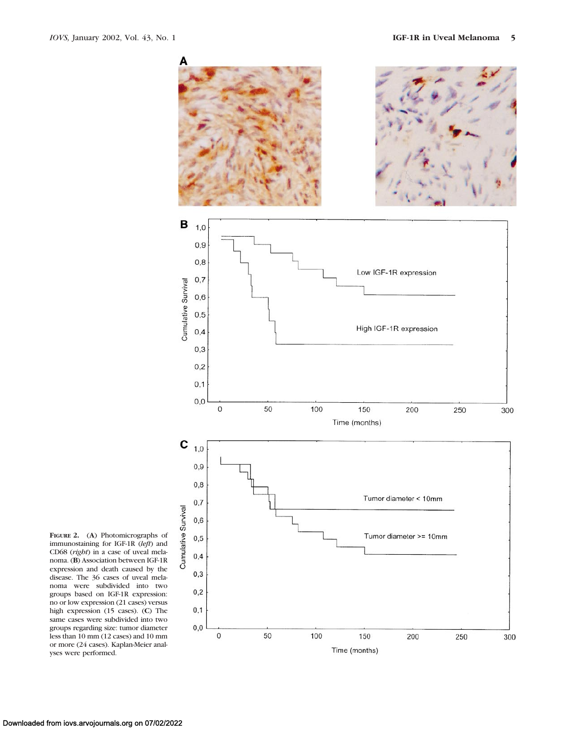

200

Time (months)

250

300

**FIGURE 2.** (**A**) Photomicrographs of immunostaining for IGF-1R (*left*) and CD68 (*right*) in a case of uveal melanoma. (**B**) Association between IGF-1R expression and death caused by the disease. The 36 cases of uveal melanoma were subdivided into two groups based on IGF-1R expression: no or low expression (21 cases) versus high expression (15 cases). (**C**) The same cases were subdivided into two groups regarding size: tumor diameter less than 10 mm (12 cases) and 10 mm or more (24 cases). Kaplan-Meier analyses were performed.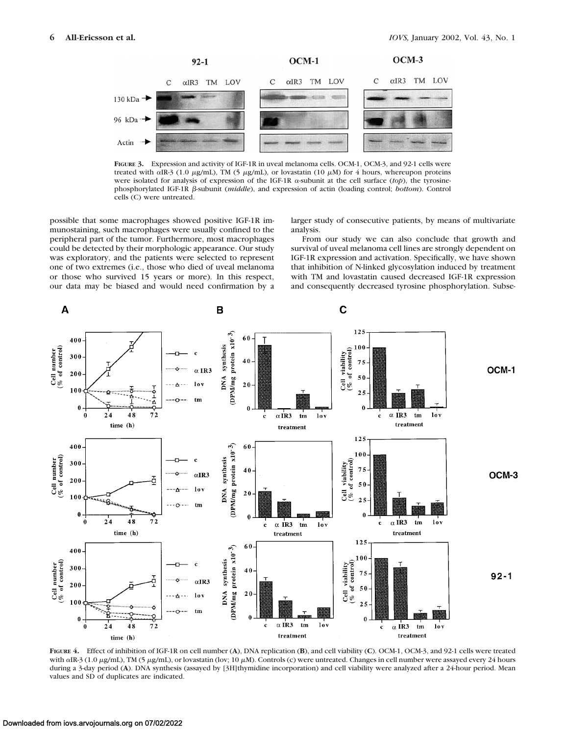

**FIGURE 3.** Expression and activity of IGF-1R in uveal melanoma cells. OCM-1, OCM-3, and 92-1 cells were treated with  $\alpha$ IR-3 (1.0  $\mu$ g/mL), TM (5  $\mu$ g/mL), or lovastatin (10  $\mu$ M) for 4 hours, whereupon proteins were isolated for analysis of expression of the IGF-1R  $\alpha$ -subunit at the cell surface (*top*), the tyrosinephosphorylated IGF-1R b-subunit (*middle*), and expression of actin (loading control; *bottom*). Control cells (C) were untreated.

possible that some macrophages showed positive IGF-1R immunostaining, such macrophages were usually confined to the peripheral part of the tumor. Furthermore, most macrophages could be detected by their morphologic appearance. Our study was exploratory, and the patients were selected to represent one of two extremes (i.e., those who died of uveal melanoma or those who survived 15 years or more). In this respect, our data may be biased and would need confirmation by a larger study of consecutive patients, by means of multivariate analysis.

From our study we can also conclude that growth and survival of uveal melanoma cell lines are strongly dependent on IGF-1R expression and activation. Specifically, we have shown that inhibition of N-linked glycosylation induced by treatment with TM and lovastatin caused decreased IGF-1R expression and consequently decreased tyrosine phosphorylation. Subse-



**FIGURE 4.** Effect of inhibition of IGF-1R on cell number (**A**), DNA replication (**B**), and cell viability (**C**). OCM-1, OCM-3, and 92-1 cells were treated with  $\alpha$ IR-3 (1.0  $\mu$ g/mL), TM (5  $\mu$ g/mL), or lovastatin (lov; 10  $\mu$ M). Controls (c) were untreated. Changes in cell number were assayed every 24 hours during a 3-day period (**A**). DNA synthesis (assayed by [3H]thymidine incorporation) and cell viability were analyzed after a 24-hour period. Mean values and SD of duplicates are indicated.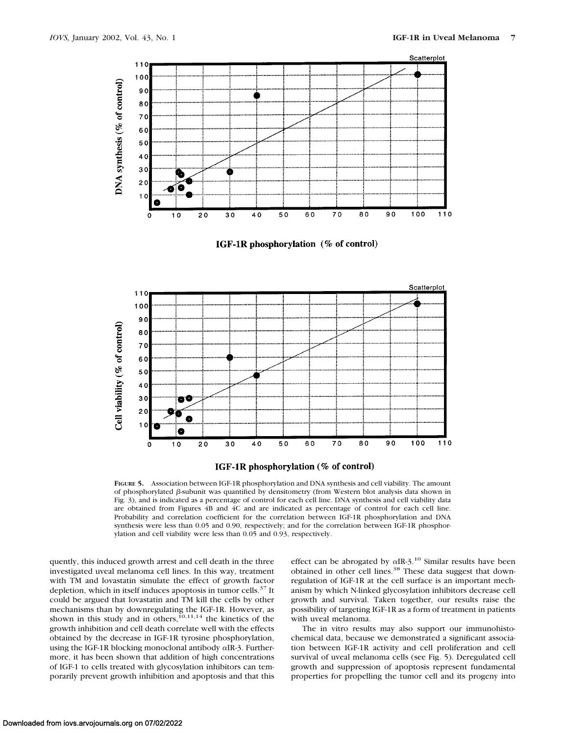

IGF-1R phosphorylation (% of control)





**FIGURE 5.** Association between IGF-1R phosphorylation and DNA synthesis and cell viability. The amount of phosphorylated  $\beta$ -subunit was quantified by densitometry (from Western blot analysis data shown in Fig. 3), and is indicated as a percentage of control for each cell line. DNA synthesis and cell viability data are obtained from Figures 4B and 4C and are indicated as percentage of control for each cell line. Probability and correlation coefficient for the correlation between IGF-1R phosphorylation and DNA synthesis were less than 0.05 and 0.90, respectively; and for the correlation between IGF-1R phosphorylation and cell viability were less than 0.05 and 0.93, respectively.

quently, this induced growth arrest and cell death in the three investigated uveal melanoma cell lines. In this way, treatment with TM and lovastatin simulate the effect of growth factor depletion, which in itself induces apoptosis in tumor cells.<sup>37</sup> It could be argued that lovastatin and TM kill the cells by other mechanisms than by downregulating the IGF-1R. However, as shown in this study and in others,<sup>10,11,14</sup> the kinetics of the growth inhibition and cell death correlate well with the effects obtained by the decrease in IGF-1R tyrosine phosphorylation, using the IGF-1R blocking monoclonal antibody <sup>a</sup>IR-3. Furthermore, it has been shown that addition of high concentrations of IGF-1 to cells treated with glycosylation inhibitors can temporarily prevent growth inhibition and apoptosis and that this

effect can be abrogated by  $\alpha$ IR-3.<sup>10</sup> Similar results have been obtained in other cell lines.<sup>38</sup> These data suggest that downregulation of IGF-1R at the cell surface is an important mechanism by which N-linked glycosylation inhibitors decrease cell growth and survival. Taken together, our results raise the possibility of targeting IGF-1R as a form of treatment in patients with uveal melanoma.

The in vitro results may also support our immunohistochemical data, because we demonstrated a significant association between IGF-1R activity and cell proliferation and cell survival of uveal melanoma cells (see Fig. 5). Deregulated cell growth and suppression of apoptosis represent fundamental properties for propelling the tumor cell and its progeny into